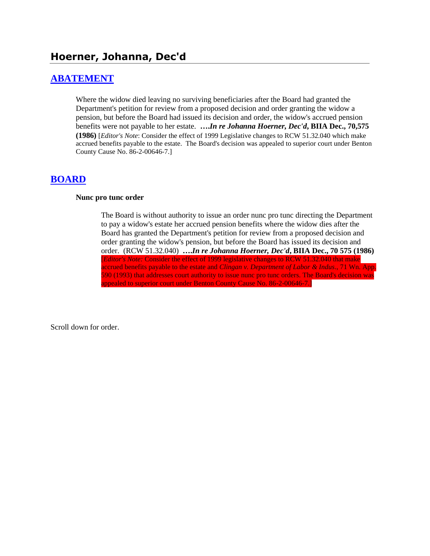# **Hoerner, Johanna, Dec'd**

#### **[ABATEMENT](http://www.biia.wa.gov/SDSubjectIndex.html#ABATEMENT)**

Where the widow died leaving no surviving beneficiaries after the Board had granted the Department's petition for review from a proposed decision and order granting the widow a pension, but before the Board had issued its decision and order, the widow's accrued pension benefits were not payable to her estate. **….***In re Johanna Hoerner, Dec'd***, BIIA Dec., 70,575 (1986)** [*Editor's Note*: Consider the effect of 1999 Legislative changes to RCW 51.32.040 which make accrued benefits payable to the estate. The Board's decision was appealed to superior court under Benton County Cause No. 86-2-00646-7.]

#### **[BOARD](http://www.biia.wa.gov/SDSubjectIndex.html#BOARD)**

#### **Nunc pro tunc order**

The Board is without authority to issue an order nunc pro tunc directing the Department to pay a widow's estate her accrued pension benefits where the widow dies after the Board has granted the Department's petition for review from a proposed decision and order granting the widow's pension, but before the Board has issued its decision and order. (RCW 51.32.040) **….***In re Johanna Hoerner, Dec'd***, BIIA Dec., 70 575 (1986)**  [*Editor's Note:* Consider the effect of 1999 legislative changes to RCW 51.32.040 that make accrued benefits payable to the estate and *Clingan v. Department of Labor & Indus*., 71 Wn. App. 590 (1993) that addresses court authority to issue nunc pro tunc orders. The Board's decision was appealed to superior court under Benton County Cause No. 86-2-00646-7.]

Scroll down for order.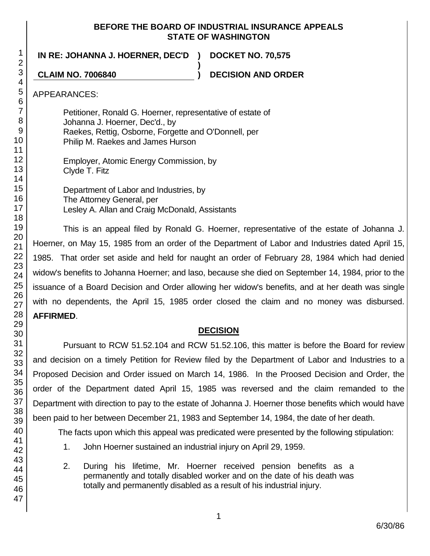#### **BEFORE THE BOARD OF INDUSTRIAL INSURANCE APPEALS STATE OF WASHINGTON**

**)**

**IN RE: JOHANNA J. HOERNER, DEC'D ) DOCKET NO. 70,575**

**CLAIM NO. 7006840 ) DECISION AND ORDER**

APPEARANCES:

Petitioner, Ronald G. Hoerner, representative of estate of Johanna J. Hoerner, Dec'd., by Raekes, Rettig, Osborne, Forgette and O'Donnell, per Philip M. Raekes and James Hurson

Employer, Atomic Energy Commission, by Clyde T. Fitz

Department of Labor and Industries, by The Attorney General, per Lesley A. Allan and Craig McDonald, Assistants

This is an appeal filed by Ronald G. Hoerner, representative of the estate of Johanna J. Hoerner, on May 15, 1985 from an order of the Department of Labor and Industries dated April 15, 1985. That order set aside and held for naught an order of February 28, 1984 which had denied widow's benefits to Johanna Hoerner; and laso, because she died on September 14, 1984, prior to the issuance of a Board Decision and Order allowing her widow's benefits, and at her death was single with no dependents, the April 15, 1985 order closed the claim and no money was disbursed. **AFFIRMED**.

## **DECISION**

Pursuant to RCW 51.52.104 and RCW 51.52.106, this matter is before the Board for review and decision on a timely Petition for Review filed by the Department of Labor and Industries to a Proposed Decision and Order issued on March 14, 1986. In the Proosed Decision and Order, the order of the Department dated April 15, 1985 was reversed and the claim remanded to the Department with direction to pay to the estate of Johanna J. Hoerner those benefits which would have been paid to her between December 21, 1983 and September 14, 1984, the date of her death.

The facts upon which this appeal was predicated were presented by the following stipulation:

- 1. John Hoerner sustained an industrial injury on April 29, 1959.
- 2. During his lifetime, Mr. Hoerner received pension benefits as a permanently and totally disabled worker and on the date of his death was totally and permanently disabled as a result of his industrial injury.

1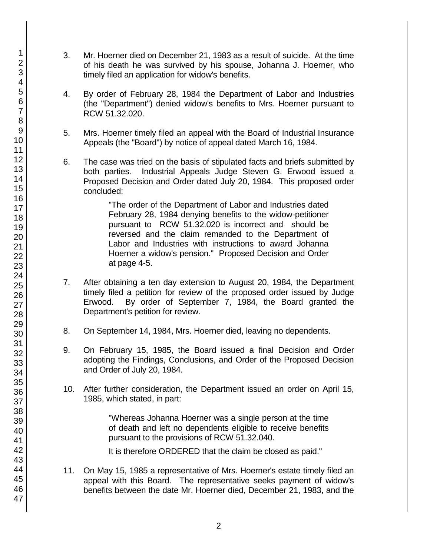- 3. Mr. Hoerner died on December 21, 1983 as a result of suicide. At the time of his death he was survived by his spouse, Johanna J. Hoerner, who timely filed an application for widow's benefits.
- 4. By order of February 28, 1984 the Department of Labor and Industries (the "Department") denied widow's benefits to Mrs. Hoerner pursuant to RCW 51.32.020.
- 5. Mrs. Hoerner timely filed an appeal with the Board of Industrial Insurance Appeals (the "Board") by notice of appeal dated March 16, 1984.
- 6. The case was tried on the basis of stipulated facts and briefs submitted by both parties. Industrial Appeals Judge Steven G. Erwood issued a Proposed Decision and Order dated July 20, 1984. This proposed order concluded:

"The order of the Department of Labor and Industries dated February 28, 1984 denying benefits to the widow-petitioner pursuant to RCW 51.32.020 is incorrect and should be reversed and the claim remanded to the Department of Labor and Industries with instructions to award Johanna Hoerner a widow's pension." Proposed Decision and Order at page 4-5.

- 7. After obtaining a ten day extension to August 20, 1984, the Department timely filed a petition for review of the proposed order issued by Judge Erwood. By order of September 7, 1984, the Board granted the Department's petition for review.
- 8. On September 14, 1984, Mrs. Hoerner died, leaving no dependents.
- 9. On February 15, 1985, the Board issued a final Decision and Order adopting the Findings, Conclusions, and Order of the Proposed Decision and Order of July 20, 1984.
- 10. After further consideration, the Department issued an order on April 15, 1985, which stated, in part:

"Whereas Johanna Hoerner was a single person at the time of death and left no dependents eligible to receive benefits pursuant to the provisions of RCW 51.32.040.

It is therefore ORDERED that the claim be closed as paid."

11. On May 15, 1985 a representative of Mrs. Hoerner's estate timely filed an appeal with this Board. The representative seeks payment of widow's benefits between the date Mr. Hoerner died, December 21, 1983, and the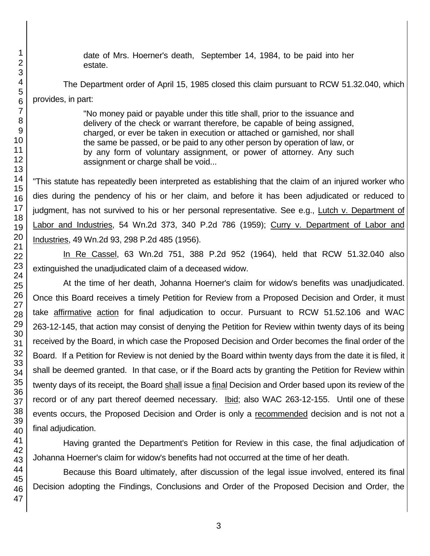date of Mrs. Hoerner's death, September 14, 1984, to be paid into her estate.

The Department order of April 15, 1985 closed this claim pursuant to RCW 51.32.040, which provides, in part:

> "No money paid or payable under this title shall, prior to the issuance and delivery of the check or warrant therefore, be capable of being assigned, charged, or ever be taken in execution or attached or garnished, nor shall the same be passed, or be paid to any other person by operation of law, or by any form of voluntary assignment, or power of attorney. Any such assignment or charge shall be void...

"This statute has repeatedly been interpreted as establishing that the claim of an injured worker who dies during the pendency of his or her claim, and before it has been adjudicated or reduced to judgment, has not survived to his or her personal representative. See e.g., Lutch v. Department of Labor and Industries, 54 Wn.2d 373, 340 P.2d 786 (1959); Curry v. Department of Labor and Industries, 49 Wn.2d 93, 298 P.2d 485 (1956).

In Re Cassel, 63 Wn.2d 751, 388 P.2d 952 (1964), held that RCW 51.32.040 also extinguished the unadjudicated claim of a deceased widow.

At the time of her death, Johanna Hoerner's claim for widow's benefits was unadjudicated. Once this Board receives a timely Petition for Review from a Proposed Decision and Order, it must take affirmative action for final adjudication to occur. Pursuant to RCW 51.52.106 and WAC 263-12-145, that action may consist of denying the Petition for Review within twenty days of its being received by the Board, in which case the Proposed Decision and Order becomes the final order of the Board. If a Petition for Review is not denied by the Board within twenty days from the date it is filed, it shall be deemed granted. In that case, or if the Board acts by granting the Petition for Review within twenty days of its receipt, the Board shall issue a final Decision and Order based upon its review of the record or of any part thereof deemed necessary. **Ibid**; also WAC 263-12-155. Until one of these events occurs, the Proposed Decision and Order is only a recommended decision and is not not a final adjudication.

Having granted the Department's Petition for Review in this case, the final adjudication of Johanna Hoerner's claim for widow's benefits had not occurred at the time of her death.

Because this Board ultimately, after discussion of the legal issue involved, entered its final Decision adopting the Findings, Conclusions and Order of the Proposed Decision and Order, the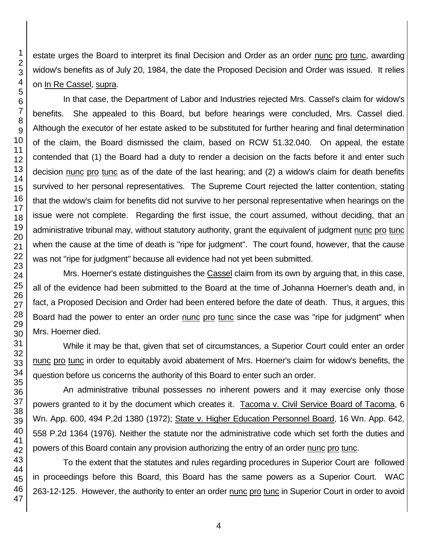estate urges the Board to interpret its final Decision and Order as an order nunc pro tunc, awarding widow's benefits as of July 20, 1984, the date the Proposed Decision and Order was issued. It relies on In Re Cassel, supra.

In that case, the Department of Labor and Industries rejected Mrs. Cassel's claim for widow's benefits. She appealed to this Board, but before hearings were concluded, Mrs. Cassel died. Although the executor of her estate asked to be substituted for further hearing and final determination of the claim, the Board dismissed the claim, based on RCW 51.32.040. On appeal, the estate contended that (1) the Board had a duty to render a decision on the facts before it and enter such decision nunc pro tunc as of the date of the last hearing; and (2) a widow's claim for death benefits survived to her personal representatives. The Supreme Court rejected the latter contention, stating that the widow's claim for benefits did not survive to her personal representative when hearings on the issue were not complete. Regarding the first issue, the court assumed, without deciding, that an administrative tribunal may, without statutory authority, grant the equivalent of judgment nunc pro tunc when the cause at the time of death is "ripe for judgment". The court found, however, that the cause was not "ripe for judgment" because all evidence had not yet been submitted.

Mrs. Hoerner's estate distinguishes the Cassel claim from its own by arguing that, in this case, all of the evidence had been submitted to the Board at the time of Johanna Hoerner's death and, in fact, a Proposed Decision and Order had been entered before the date of death. Thus, it argues, this Board had the power to enter an order nunc pro tunc since the case was "ripe for judgment" when Mrs. Hoerner died.

While it may be that, given that set of circumstances, a Superior Court could enter an order nunc pro tunc in order to equitably avoid abatement of Mrs. Hoerner's claim for widow's benefits, the question before us concerns the authority of this Board to enter such an order.

An administrative tribunal possesses no inherent powers and it may exercise only those powers granted to it by the document which creates it. Tacoma v. Civil Service Board of Tacoma, 6 Wn. App. 600, 494 P.2d 1380 (1972); State v. Higher Education Personnel Board, 16 Wn. App. 642, 558 P.2d 1364 (1976). Neither the statute nor the administrative code which set forth the duties and powers of this Board contain any provision authorizing the entry of an order nunc pro tunc.

To the extent that the statutes and rules regarding procedures in Superior Court are followed in proceedings before this Board, this Board has the same powers as a Superior Court. WAC 263-12-125. However, the authority to enter an order nunc pro tunc in Superior Court in order to avoid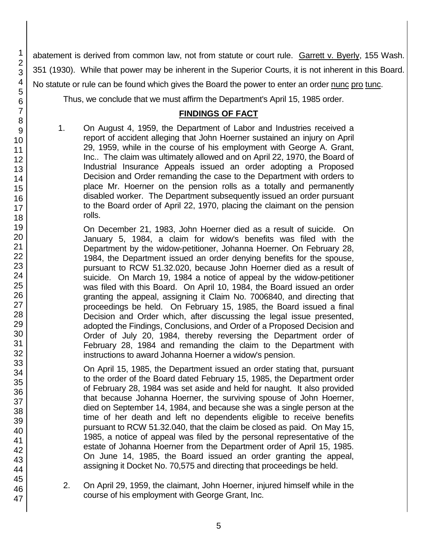abatement is derived from common law, not from statute or court rule. Garrett v. Byerly, 155 Wash. 351 (1930). While that power may be inherent in the Superior Courts, it is not inherent in this Board. No statute or rule can be found which gives the Board the power to enter an order nunc pro tunc.

Thus, we conclude that we must affirm the Department's April 15, 1985 order.

# **FINDINGS OF FACT**

1. On August 4, 1959, the Department of Labor and Industries received a report of accident alleging that John Hoerner sustained an injury on April 29, 1959, while in the course of his employment with George A. Grant, Inc.. The claim was ultimately allowed and on April 22, 1970, the Board of Industrial Insurance Appeals issued an order adopting a Proposed Decision and Order remanding the case to the Department with orders to place Mr. Hoerner on the pension rolls as a totally and permanently disabled worker. The Department subsequently issued an order pursuant to the Board order of April 22, 1970, placing the claimant on the pension rolls.

On December 21, 1983, John Hoerner died as a result of suicide. On January 5, 1984, a claim for widow's benefits was filed with the Department by the widow-petitioner, Johanna Hoerner. On February 28, 1984, the Department issued an order denying benefits for the spouse, pursuant to RCW 51.32.020, because John Hoerner died as a result of suicide. On March 19, 1984 a notice of appeal by the widow-petitioner was filed with this Board. On April 10, 1984, the Board issued an order granting the appeal, assigning it Claim No. 7006840, and directing that proceedings be held. On February 15, 1985, the Board issued a final Decision and Order which, after discussing the legal issue presented, adopted the Findings, Conclusions, and Order of a Proposed Decision and Order of July 20, 1984, thereby reversing the Department order of February 28, 1984 and remanding the claim to the Department with instructions to award Johanna Hoerner a widow's pension.

On April 15, 1985, the Department issued an order stating that, pursuant to the order of the Board dated February 15, 1985, the Department order of February 28, 1984 was set aside and held for naught. It also provided that because Johanna Hoerner, the surviving spouse of John Hoerner, died on September 14, 1984, and because she was a single person at the time of her death and left no dependents eligible to receive benefits pursuant to RCW 51.32.040, that the claim be closed as paid. On May 15, 1985, a notice of appeal was filed by the personal representative of the estate of Johanna Hoerner from the Department order of April 15, 1985. On June 14, 1985, the Board issued an order granting the appeal, assigning it Docket No. 70,575 and directing that proceedings be held.

- 2. On April 29, 1959, the claimant, John Hoerner, injured himself while in the course of his employment with George Grant, Inc.
- 1 2 3 4 5 6 7 8 9 10 11 12 13 14 15 16 17 18 19 20 21 22 23 24 25 26 27 28 29 30 31 32 33 34 35 36 37 38 39 40 41 42 43 44 45 46 47